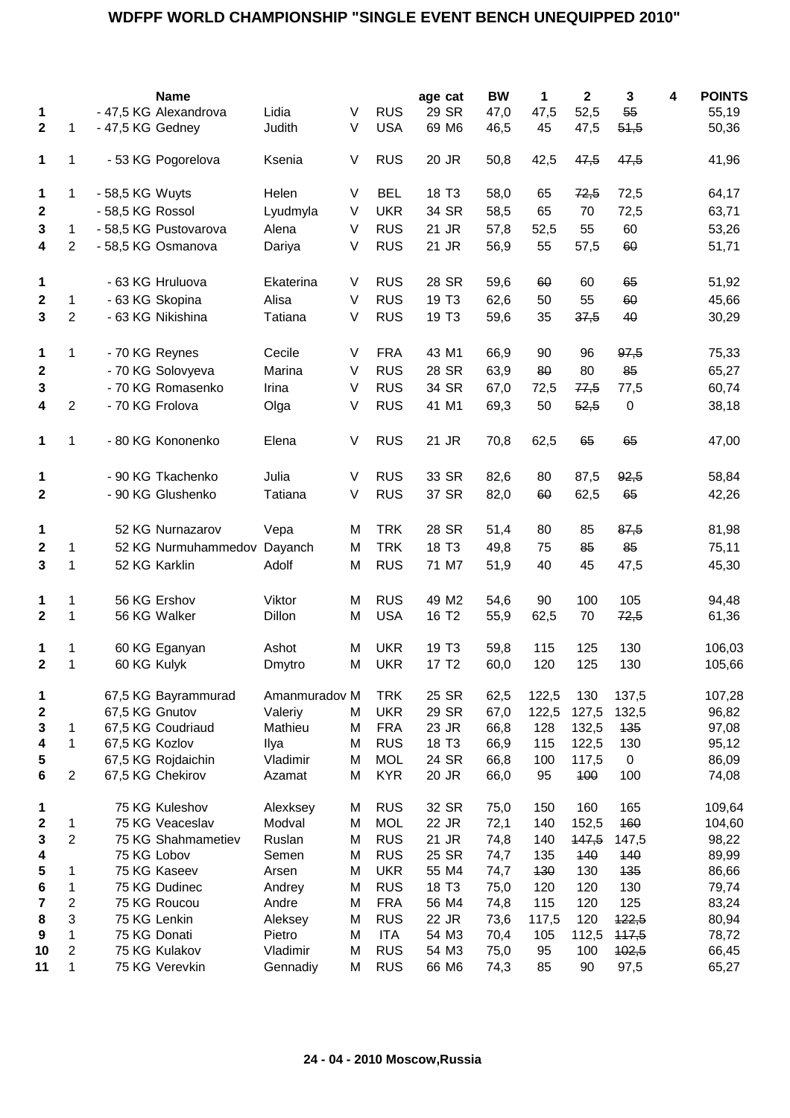## **WDFPF WORLD CHAMPIONSHIP "SINGLE EVENT BENCH UNEQUIPPED 2010"**

|              |                |                  | <b>Name</b>           |               |        |            | age cat           | BW   | 1     | $\mathbf 2$ | 3     | 4 | <b>POINTS</b> |
|--------------|----------------|------------------|-----------------------|---------------|--------|------------|-------------------|------|-------|-------------|-------|---|---------------|
| 1            |                |                  | - 47,5 KG Alexandrova | Lidia         | V      | <b>RUS</b> | 29 SR             | 47,0 | 47,5  | 52,5        | 55    |   | 55,19         |
| $\mathbf{2}$ | 1              | - 47,5 KG Gedney |                       | Judith        | V      | <b>USA</b> | 69 M6             | 46,5 | 45    | 47,5        | 51,5  |   | 50,36         |
| 1            | 1              |                  | - 53 KG Pogorelova    | Ksenia        | V      | <b>RUS</b> | 20 JR             | 50,8 | 42,5  | 47,5        | 47,5  |   | 41,96         |
| 1            | 1              | - 58,5 KG Wuyts  |                       | Helen         | V      | <b>BEL</b> | 18 T <sub>3</sub> | 58,0 | 65    | 72,5        | 72,5  |   | 64,17         |
| $\mathbf 2$  |                | - 58,5 KG Rossol |                       | Lyudmyla      | V      | <b>UKR</b> | 34 SR             | 58,5 | 65    | 70          | 72,5  |   | 63,71         |
| 3            | 1              |                  | - 58,5 KG Pustovarova | Alena         | V      | <b>RUS</b> | 21 JR             | 57,8 | 52,5  | 55          | 60    |   | 53,26         |
| 4            | $\overline{2}$ |                  | - 58,5 KG Osmanova    | Dariya        | $\vee$ | <b>RUS</b> | 21 JR             | 56,9 | 55    | 57,5        | 60    |   | 51,71         |
| 1            |                |                  | - 63 KG Hruluova      | Ekaterina     | V      | <b>RUS</b> | 28 SR             | 59,6 | 60    | 60          | 65    |   | 51,92         |
| $\mathbf 2$  | 1              |                  | - 63 KG Skopina       | Alisa         | V      | <b>RUS</b> | 19 T <sub>3</sub> | 62,6 | 50    | 55          | 60    |   | 45,66         |
| 3            | 2              |                  | - 63 KG Nikishina     | Tatiana       | V      | <b>RUS</b> | 19 T <sub>3</sub> | 59,6 | 35    | 37,5        | 40    |   | 30,29         |
| 1            | 1              |                  | - 70 KG Reynes        | Cecile        | V      | <b>FRA</b> | 43 M1             | 66,9 | 90    | 96          | 97,5  |   | 75,33         |
| $\mathbf 2$  |                |                  | - 70 KG Solovyeva     | Marina        | V      | <b>RUS</b> | 28 SR             | 63,9 | 80    | 80          | 85    |   | 65,27         |
| 3            |                |                  | - 70 KG Romasenko     | Irina         | V      | <b>RUS</b> | 34 SR             | 67,0 | 72,5  | 77,5        | 77,5  |   | 60,74         |
| 4            | $\overline{2}$ |                  | - 70 KG Frolova       | Olga          | $\vee$ | <b>RUS</b> | 41 M1             | 69,3 | 50    | 52,5        | 0     |   | 38,18         |
| 1            | 1              |                  | - 80 KG Kononenko     | Elena         | V      | <b>RUS</b> | 21 JR             | 70,8 | 62,5  | 65          | 65    |   | 47,00         |
| 1            |                |                  | - 90 KG Tkachenko     | Julia         | V      | <b>RUS</b> | 33 SR             | 82,6 | 80    | 87,5        | 92,5  |   | 58,84         |
| $\mathbf{2}$ |                |                  | - 90 KG Glushenko     | Tatiana       | V      | <b>RUS</b> | 37 SR             | 82,0 | 60    | 62,5        | 65    |   | 42,26         |
| 1            |                |                  | 52 KG Nurnazarov      | Vepa          | M      | <b>TRK</b> | 28 SR             | 51,4 | 80    | 85          | 87,5  |   | 81,98         |
| $\mathbf 2$  | 1              |                  | 52 KG Nurmuhammedov   | Dayanch       | M      | <b>TRK</b> | 18 T <sub>3</sub> | 49,8 | 75    | 85          | 85    |   | 75,11         |
| 3            | 1              |                  | 52 KG Karklin         | Adolf         | M      | <b>RUS</b> | 71 M7             | 51,9 | 40    | 45          | 47,5  |   | 45,30         |
|              |                |                  |                       |               |        |            |                   |      |       |             |       |   |               |
| 1            | 1              |                  | 56 KG Ershov          | Viktor        | M      | <b>RUS</b> | 49 M2             | 54,6 | 90    | 100         | 105   |   | 94,48         |
| $\mathbf 2$  | 1              |                  | 56 KG Walker          | Dillon        | M      | <b>USA</b> | 16 T <sub>2</sub> | 55,9 | 62,5  | 70          | 72,5  |   | 61,36         |
| 1            | 1              |                  | 60 KG Eganyan         | Ashot         | M      | <b>UKR</b> | 19 T <sub>3</sub> | 59,8 | 115   | 125         | 130   |   | 106,03        |
| $\mathbf 2$  | 1              | 60 KG Kulyk      |                       | Dmytro        | M      | <b>UKR</b> | 17 T <sub>2</sub> | 60,0 | 120   | 125         | 130   |   | 105,66        |
| 1            |                |                  | 67,5 KG Bayrammurad   | Amanmuradov M |        | <b>TRK</b> | 25 SR             | 62,5 | 122,5 | 130         | 137,5 |   | 107,28        |
| $\mathbf 2$  |                | 67,5 KG Gnutov   |                       | Valeriy       | M      | <b>UKR</b> | 29 SR             | 67,0 | 122,5 | 127,5       | 132,5 |   | 96,82         |
| 3            | 1              |                  | 67,5 KG Coudriaud     | Mathieu       | M      | <b>FRA</b> | 23 JR             | 66,8 | 128   | 132,5       | 135   |   | 97,08         |
| 4            | $\mathbf{1}$   | 67,5 KG Kozlov   |                       | Ilya          | M      | <b>RUS</b> | 18 T <sub>3</sub> | 66,9 | 115   | 122,5       | 130   |   | 95,12         |
| 5            |                |                  | 67,5 KG Rojdaichin    | Vladimir      | M      | <b>MOL</b> | 24 SR             | 66,8 | 100   | 117,5       | 0     |   | 86,09         |
| 6            | $\overline{2}$ |                  | 67,5 KG Chekirov      | Azamat        | M      | <b>KYR</b> | 20 JR             | 66,0 | 95    | 400         | 100   |   | 74,08         |
| 1            |                |                  | 75 KG Kuleshov        | Alexksey      | M      | <b>RUS</b> | 32 SR             | 75,0 | 150   | 160         | 165   |   | 109,64        |
| $\mathbf 2$  | 1              |                  | 75 KG Veaceslav       | Modval        | M      | <b>MOL</b> | 22 JR             | 72,1 | 140   | 152,5       | 160   |   | 104,60        |
| $\mathbf 3$  | $\overline{c}$ |                  | 75 KG Shahmametiev    | Ruslan        | M      | <b>RUS</b> | 21 JR             | 74,8 | 140   | 147,5       | 147,5 |   | 98,22         |
| 4            |                |                  | 75 KG Lobov           | Semen         | M      | <b>RUS</b> | 25 SR             | 74,7 | 135   | 140         | 140   |   | 89,99         |
| 5            | 1              |                  | 75 KG Kaseev          | Arsen         | M      | <b>UKR</b> | 55 M4             | 74,7 | 130   | 130         | 435   |   | 86,66         |
| 6            | 1              |                  | 75 KG Dudinec         | Andrey        | M      | <b>RUS</b> | 18 T <sub>3</sub> | 75,0 | 120   | 120         | 130   |   | 79,74         |
| 7            | 2              |                  | 75 KG Roucou          | Andre         | M      | <b>FRA</b> | 56 M4             | 74,8 | 115   | 120         | 125   |   | 83,24         |
| 8            | 3              |                  | 75 KG Lenkin          | Aleksey       | M      | <b>RUS</b> | 22 JR             | 73,6 | 117,5 | 120         | 422,5 |   | 80,94         |
| 9            | $\mathbf{1}$   |                  | 75 KG Donati          | Pietro        | M      | <b>ITA</b> | 54 M3             | 70,4 | 105   | 112,5       | 447,5 |   | 78,72         |
| 10           | 2              |                  | 75 KG Kulakov         | Vladimir      | M      | <b>RUS</b> | 54 M3             | 75,0 | 95    | 100         | 402,5 |   | 66,45         |
| 11           | 1              |                  | 75 KG Verevkin        | Gennadiy      | M      | <b>RUS</b> | 66 M6             | 74,3 | 85    | 90          | 97,5  |   | 65,27         |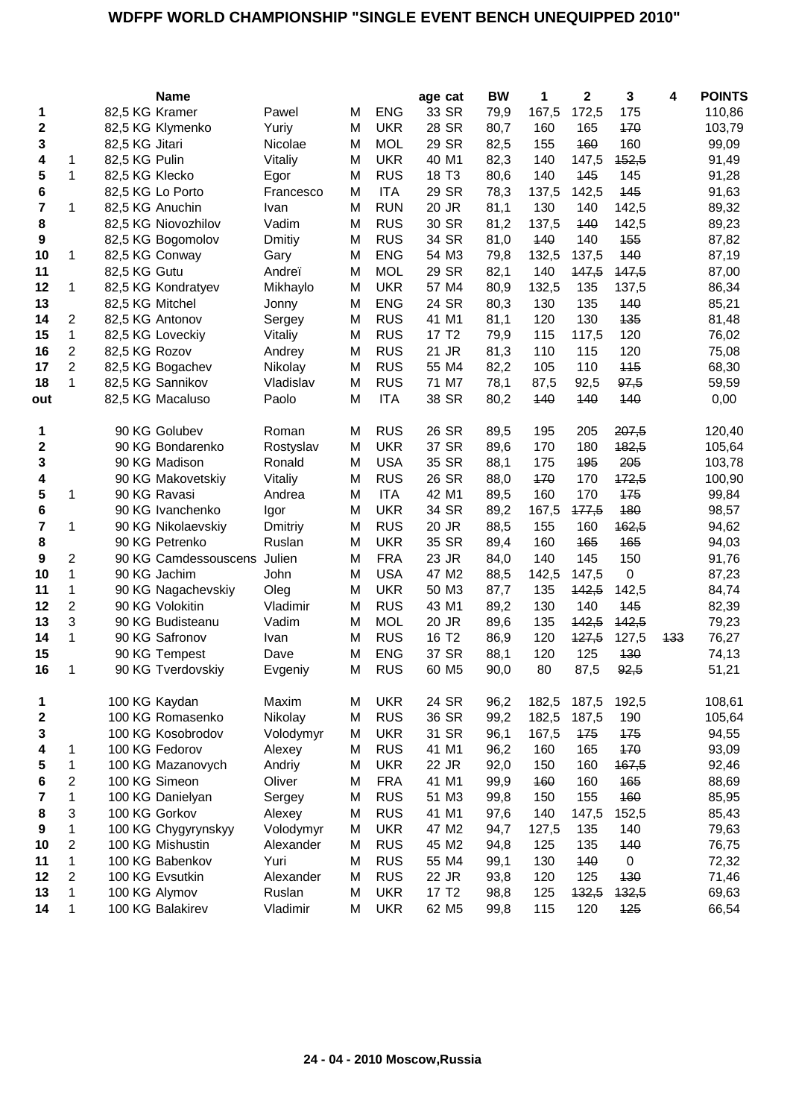## **WDFPF WORLD CHAMPIONSHIP "SINGLE EVENT BENCH UNEQUIPPED 2010"**

|                  |                         |                 | <b>Name</b>          |           |   |            | age cat           | BW   | 1     | 2     | 3         | 4   | <b>POINTS</b> |
|------------------|-------------------------|-----------------|----------------------|-----------|---|------------|-------------------|------|-------|-------|-----------|-----|---------------|
| 1                |                         | 82,5 KG Kramer  |                      | Pawel     | M | <b>ENG</b> | 33 SR             | 79,9 | 167,5 | 172,5 | 175       |     | 110,86        |
| $\boldsymbol{2}$ |                         |                 | 82,5 KG Klymenko     | Yuriy     | M | <b>UKR</b> | 28 SR             | 80,7 | 160   | 165   | 470       |     | 103,79        |
| 3                |                         | 82,5 KG Jitari  |                      | Nicolae   | M | <b>MOL</b> | 29 SR             | 82,5 | 155   | 160   | 160       |     | 99,09         |
| 4                | 1                       | 82,5 KG Pulin   |                      | Vitaliy   | M | <b>UKR</b> | 40 M1             | 82,3 | 140   | 147,5 | 152,5     |     | 91,49         |
| 5                | 1                       | 82,5 KG Klecko  |                      | Egor      | M | <b>RUS</b> | 18 T <sub>3</sub> | 80,6 | 140   | 445   | 145       |     | 91,28         |
| 6                |                         |                 | 82,5 KG Lo Porto     | Francesco | M | <b>ITA</b> | 29 SR             | 78,3 | 137,5 | 142,5 | 145       |     | 91,63         |
| 7                | 1                       |                 | 82,5 KG Anuchin      | Ivan      | M | <b>RUN</b> | 20 JR             | 81,1 | 130   | 140   | 142,5     |     | 89,32         |
| 8                |                         |                 | 82,5 KG Niovozhilov  | Vadim     | M | <b>RUS</b> | 30 SR             | 81,2 | 137,5 | 140   | 142,5     |     | 89,23         |
| $\boldsymbol{9}$ |                         |                 | 82,5 KG Bogomolov    | Dmitiy    | M | <b>RUS</b> | 34 SR             | 81,0 | 440   | 140   | 155       |     | 87,82         |
| 10               | 1                       |                 | 82,5 KG Conway       | Gary      | M | <b>ENG</b> | 54 M3             | 79,8 | 132,5 | 137,5 | 140       |     | 87,19         |
| 11               |                         | 82,5 KG Gutu    |                      | Andreï    | M | <b>MOL</b> | 29 SR             | 82,1 | 140   | 147,5 | 447,5     |     | 87,00         |
| 12               | 1                       |                 | 82,5 KG Kondratyev   | Mikhaylo  | M | <b>UKR</b> | 57 M4             | 80,9 | 132,5 | 135   | 137,5     |     | 86,34         |
| 13               |                         | 82,5 KG Mitchel |                      | Jonny     | M | <b>ENG</b> | 24 SR             | 80,3 | 130   | 135   | 140       |     | 85,21         |
| 14               | 2                       |                 | 82,5 KG Antonov      | Sergey    | M | <b>RUS</b> | 41 M1             | 81,1 | 120   | 130   | 135       |     | 81,48         |
| 15               | 1                       |                 | 82,5 KG Loveckiy     | Vitaliy   | M | <b>RUS</b> | 17 T <sub>2</sub> | 79,9 | 115   | 117,5 | 120       |     | 76,02         |
| 16               | 2                       | 82,5 KG Rozov   |                      | Andrey    | M | <b>RUS</b> | 21 JR             | 81,3 | 110   | 115   | 120       |     | 75,08         |
| 17               | $\overline{c}$          |                 | 82,5 KG Bogachev     | Nikolay   | M | <b>RUS</b> | 55 M4             | 82,2 | 105   | 110   | 115       |     | 68,30         |
| 18               | 1                       |                 | 82,5 KG Sannikov     | Vladislav | M | <b>RUS</b> | 71 M7             | 78,1 | 87,5  | 92,5  | 97,5      |     | 59,59         |
| out              |                         |                 | 82,5 KG Macaluso     | Paolo     | M | <b>ITA</b> | 38 SR             | 80,2 | 140   | 140   | 140       |     | 0,00          |
| 1                |                         |                 | 90 KG Golubev        | Roman     | M | <b>RUS</b> | 26 SR             | 89,5 | 195   | 205   | 207,5     |     | 120,40        |
| $\boldsymbol{2}$ |                         |                 | 90 KG Bondarenko     | Rostyslav | M | <b>UKR</b> | 37 SR             | 89,6 | 170   | 180   | 182,5     |     | 105,64        |
| $\mathbf{3}$     |                         |                 | 90 KG Madison        | Ronald    | M | <b>USA</b> | 35 SR             | 88,1 | 175   | 195   | 205       |     | 103,78        |
| 4                |                         |                 | 90 KG Makovetskiy    | Vitaliy   | M | <b>RUS</b> | 26 SR             | 88,0 | 170   | 170   | 472,5     |     | 100,90        |
| 5                | 1                       |                 | 90 KG Ravasi         | Andrea    | M | <b>ITA</b> | 42 M1             | 89,5 | 160   | 170   | 175       |     | 99,84         |
| 6                |                         |                 | 90 KG Ivanchenko     | Igor      | M | <b>UKR</b> | 34 SR             | 89,2 | 167,5 | 177,5 | 180       |     | 98,57         |
| 7                | 1                       |                 | 90 KG Nikolaevskiy   | Dmitriy   | M | <b>RUS</b> | 20 JR             | 88,5 | 155   | 160   | 162,5     |     | 94,62         |
| 8                |                         |                 | 90 KG Petrenko       | Ruslan    | M | <b>UKR</b> | 35 SR             | 89,4 | 160   | 165   | 165       |     | 94,03         |
| 9                | $\overline{c}$          |                 | 90 KG Camdessouscens | Julien    | M | <b>FRA</b> | 23 JR             | 84,0 | 140   | 145   | 150       |     | 91,76         |
| 10               | 1                       |                 | 90 KG Jachim         | John      | M | <b>USA</b> | 47 M2             | 88,5 | 142,5 | 147,5 | 0         |     | 87,23         |
| 11               | 1                       |                 | 90 KG Nagachevskiy   | Oleg      | M | <b>UKR</b> | 50 M3             | 87,7 | 135   | 142,5 | 142,5     |     | 84,74         |
| 12               | 2                       |                 | 90 KG Volokitin      | Vladimir  | M | <b>RUS</b> | 43 M1             | 89,2 | 130   | 140   | 145       |     | 82,39         |
| 13               | 3                       |                 | 90 KG Budisteanu     | Vadim     | M | <b>MOL</b> | 20 JR             | 89,6 | 135   | 142,5 | 442,5     |     | 79,23         |
| 14               | 1                       |                 | 90 KG Safronov       | Ivan      | M | <b>RUS</b> | 16 T <sub>2</sub> | 86,9 | 120   | 427,5 | 127,5     | 133 | 76,27         |
| 15               |                         |                 | 90 KG Tempest        | Dave      | M | <b>ENG</b> | 37 SR             | 88,1 | 120   | 125   | 130       |     | 74,13         |
| 16               | 1                       |                 | 90 KG Tverdovskiy    | Evgeniy   | M | <b>RUS</b> | 60 M <sub>5</sub> | 90,0 | 80    | 87,5  | 92,5      |     | 51,21         |
| 1                |                         |                 | 100 KG Kaydan        | Maxim     | M | <b>UKR</b> | 24 SR             | 96,2 | 182,5 | 187,5 | 192,5     |     | 108,61        |
| 2                |                         |                 | 100 KG Romasenko     | Nikolay   | M | <b>RUS</b> | 36 SR             | 99,2 | 182,5 | 187,5 | 190       |     | 105,64        |
| 3                |                         |                 | 100 KG Kosobrodov    | Volodymyr | M | <b>UKR</b> | 31 SR             | 96,1 | 167,5 | 475   | 175       |     | 94,55         |
| 4                | 1                       |                 | 100 KG Fedorov       | Alexey    | M | <b>RUS</b> | 41 M1             | 96,2 | 160   | 165   | 470       |     | 93,09         |
| 5                | 1                       |                 | 100 KG Mazanovych    | Andriy    | M | <b>UKR</b> | 22 JR             | 92,0 | 150   | 160   | 167,5     |     | 92,46         |
| 6                | $\overline{\mathbf{c}}$ |                 | 100 KG Simeon        | Oliver    | M | <b>FRA</b> | 41 M1             | 99,9 | 160   | 160   | 165       |     | 88,69         |
| 7                | 1                       |                 | 100 KG Danielyan     | Sergey    | M | <b>RUS</b> | 51 M3             | 99,8 | 150   | 155   | 160       |     | 85,95         |
| 8                | 3                       |                 | 100 KG Gorkov        | Alexey    | M | <b>RUS</b> | 41 M1             | 97,6 | 140   | 147,5 | 152,5     |     | 85,43         |
| 9                | $\mathbf 1$             |                 | 100 KG Chygyrynskyy  | Volodymyr | M | <b>UKR</b> | 47 M2             | 94,7 | 127,5 | 135   | 140       |     | 79,63         |
| 10               | $\boldsymbol{2}$        |                 | 100 KG Mishustin     | Alexander | M | <b>RUS</b> | 45 M2             | 94,8 | 125   | 135   | 140       |     | 76,75         |
| 11               | $\mathbf 1$             |                 | 100 KG Babenkov      | Yuri      | M | <b>RUS</b> | 55 M4             | 99,1 | 130   | 140   | $\pmb{0}$ |     | 72,32         |
| 12               | $\overline{c}$          |                 | 100 KG Evsutkin      | Alexander | M | <b>RUS</b> | 22 JR             | 93,8 | 120   | 125   | 130       |     | 71,46         |
| 13               | 1                       |                 | 100 KG Alymov        | Ruslan    | M | <b>UKR</b> | 17 T <sub>2</sub> | 98,8 | 125   | 132,5 | 132,5     |     | 69,63         |
| 14               | 1                       |                 | 100 KG Balakirev     | Vladimir  | M | <b>UKR</b> | 62 M <sub>5</sub> | 99,8 | 115   | 120   | 125       |     | 66,54         |